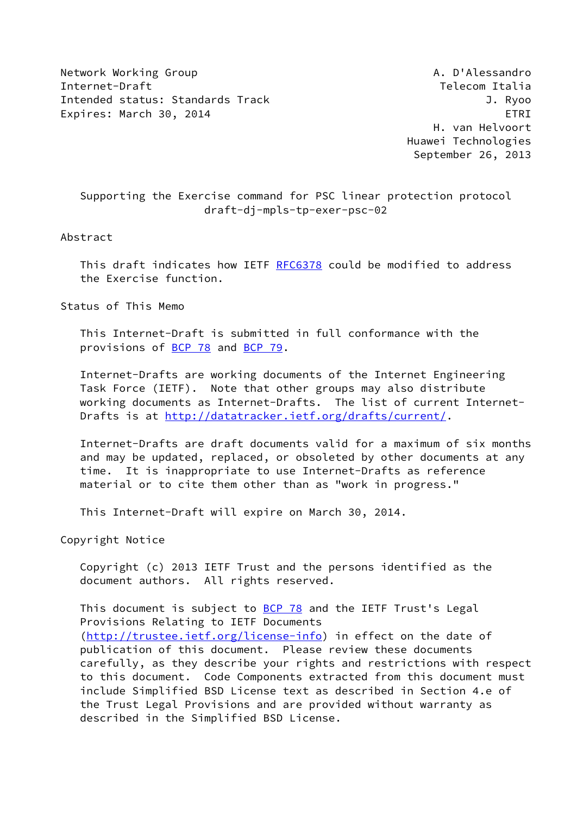Network Working Group **A. D'Alessandro** Internet-Draft Telecom Italia Intended status: Standards Track J. Ryoo Expires: March 30, 2014 **EXPIRENT ETRI** 

 H. van Helvoort Huawei Technologies September 26, 2013

 Supporting the Exercise command for PSC linear protection protocol draft-dj-mpls-tp-exer-psc-02

Abstract

This draft indicates how IETF [RFC6378](https://datatracker.ietf.org/doc/pdf/rfc6378) could be modified to address the Exercise function.

Status of This Memo

 This Internet-Draft is submitted in full conformance with the provisions of [BCP 78](https://datatracker.ietf.org/doc/pdf/bcp78) and [BCP 79](https://datatracker.ietf.org/doc/pdf/bcp79).

 Internet-Drafts are working documents of the Internet Engineering Task Force (IETF). Note that other groups may also distribute working documents as Internet-Drafts. The list of current Internet- Drafts is at<http://datatracker.ietf.org/drafts/current/>.

 Internet-Drafts are draft documents valid for a maximum of six months and may be updated, replaced, or obsoleted by other documents at any time. It is inappropriate to use Internet-Drafts as reference material or to cite them other than as "work in progress."

This Internet-Draft will expire on March 30, 2014.

Copyright Notice

 Copyright (c) 2013 IETF Trust and the persons identified as the document authors. All rights reserved.

This document is subject to **[BCP 78](https://datatracker.ietf.org/doc/pdf/bcp78)** and the IETF Trust's Legal Provisions Relating to IETF Documents [\(http://trustee.ietf.org/license-info](http://trustee.ietf.org/license-info)) in effect on the date of publication of this document. Please review these documents carefully, as they describe your rights and restrictions with respect to this document. Code Components extracted from this document must include Simplified BSD License text as described in Section 4.e of the Trust Legal Provisions and are provided without warranty as described in the Simplified BSD License.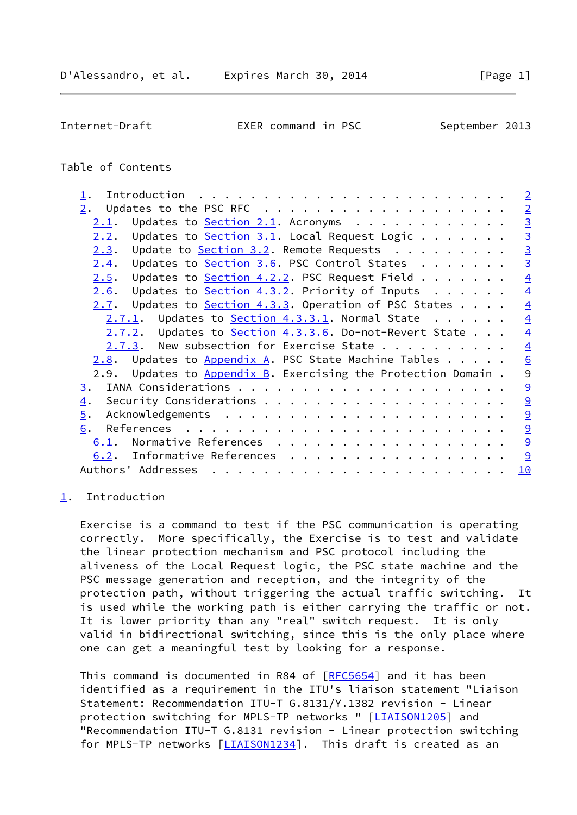<span id="page-1-1"></span>Internet-Draft EXER command in PSC September 2013

## Table of Contents

| 1.                                                                         | $\overline{2}$  |
|----------------------------------------------------------------------------|-----------------|
| 2.                                                                         | $\overline{2}$  |
| Updates to $Section 2.1$ . Acronyms<br>2.1.                                | $\overline{3}$  |
| Updates to Section 3.1. Local Request Logic $\cdots$<br>2.2.               | $\overline{3}$  |
| Update to $Section 3.2$ . Remote Requests<br>2.3.                          | $\overline{3}$  |
| Updates to <u>Section 3.6</u> . PSC Control States $\ldots \ldots$<br>2.4. | $\overline{3}$  |
| Updates to <u>Section 4.2.2</u> . PSC Request Field $\cdots$<br>2.5.       | $\overline{4}$  |
| Updates to Section 4.3.2. Priority of Inputs $\ldots \ldots$<br>2.6.       | $\overline{4}$  |
| Updates to Section 4.3.3. Operation of PSC States $\ldots$ .<br>2.7.       | $\overline{4}$  |
| $2.7.1$ . Updates to Section 4.3.3.1. Normal State                         | $\overline{4}$  |
| 2.7.2. Updates to Section 4.3.3.6. Do-not-Revert State                     | $\overline{4}$  |
| $2.7.3.$ New subsection for Exercise State $\ldots$                        | $\overline{4}$  |
| Updates to $Appendix A$ . PSC State Machine Tables<br>2.8.                 | 6               |
| 2.9. Updates to Appendix B. Exercising the Protection Domain.              | 9               |
| 3.                                                                         | $\overline{9}$  |
| 4.                                                                         | 9               |
| 5.                                                                         | $\underline{9}$ |
| 6.                                                                         | $\overline{9}$  |
| Normative References<br>6.1.                                               | $\underline{9}$ |
| 6.2. Informative References                                                | 9               |
| Authors' Addresses                                                         | 10              |
|                                                                            |                 |

## <span id="page-1-0"></span>[1](#page-1-0). Introduction

 Exercise is a command to test if the PSC communication is operating correctly. More specifically, the Exercise is to test and validate the linear protection mechanism and PSC protocol including the aliveness of the Local Request logic, the PSC state machine and the PSC message generation and reception, and the integrity of the protection path, without triggering the actual traffic switching. It is used while the working path is either carrying the traffic or not. It is lower priority than any "real" switch request. It is only valid in bidirectional switching, since this is the only place where one can get a meaningful test by looking for a response.

 This command is documented in R84 of [\[RFC5654](https://datatracker.ietf.org/doc/pdf/rfc5654)] and it has been identified as a requirement in the ITU's liaison statement "Liaison Statement: Recommendation ITU-T G.8131/Y.1382 revision - Linear protection switching for MPLS-TP networks " [\[LIAISON1205](#page-10-2)] and "Recommendation ITU-T G.8131 revision - Linear protection switching for MPLS-TP networks [\[LIAISON1234](#page-10-3)]. This draft is created as an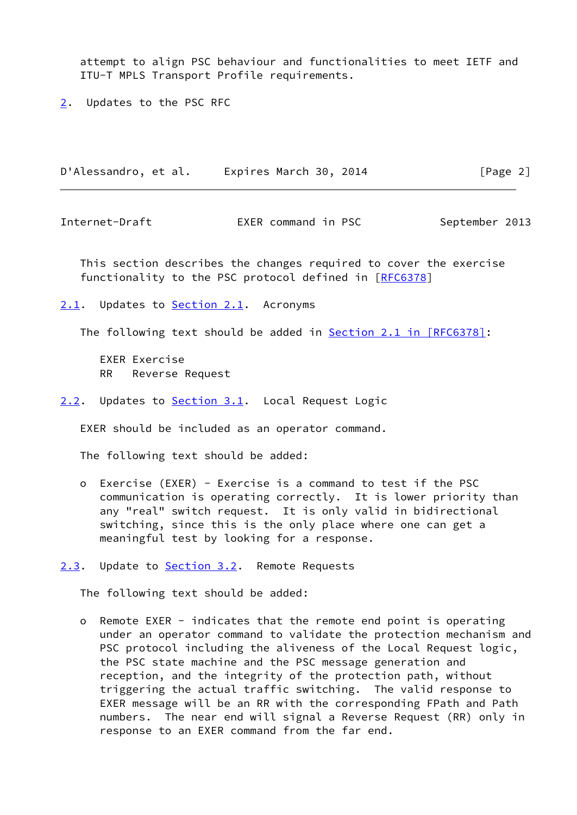attempt to align PSC behaviour and functionalities to meet IETF and ITU-T MPLS Transport Profile requirements.

<span id="page-2-0"></span>[2](#page-2-0). Updates to the PSC RFC

D'Alessandro, et al. Expires March 30, 2014 [Page 2]

<span id="page-2-2"></span>Internet-Draft EXER command in PSC September 2013

 This section describes the changes required to cover the exercise functionality to the PSC protocol defined in [\[RFC6378](https://datatracker.ietf.org/doc/pdf/rfc6378)]

<span id="page-2-1"></span>[2.1](#page-2-1). Updates to [Section 2.1](#page-2-1). Acronyms

The following text should be added in Section [2.1 in \[RFC6378\]](https://datatracker.ietf.org/doc/pdf/rfc6378#section-2.1):

 EXER Exercise RR Reverse Request

<span id="page-2-3"></span>[2.2](#page-2-3). Updates to Section 3.1. Local Request Logic

EXER should be included as an operator command.

The following text should be added:

 o Exercise (EXER) - Exercise is a command to test if the PSC communication is operating correctly. It is lower priority than any "real" switch request. It is only valid in bidirectional switching, since this is the only place where one can get a meaningful test by looking for a response.

<span id="page-2-4"></span>[2.3](#page-2-4). Update to Section 3.2. Remote Requests

The following text should be added:

 o Remote EXER - indicates that the remote end point is operating under an operator command to validate the protection mechanism and PSC protocol including the aliveness of the Local Request logic, the PSC state machine and the PSC message generation and reception, and the integrity of the protection path, without triggering the actual traffic switching. The valid response to EXER message will be an RR with the corresponding FPath and Path numbers. The near end will signal a Reverse Request (RR) only in response to an EXER command from the far end.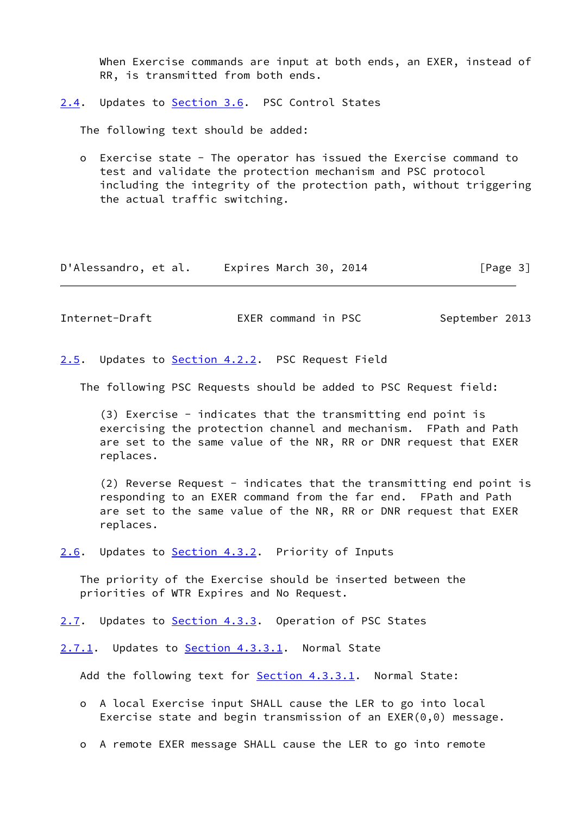When Exercise commands are input at both ends, an EXER, instead of RR, is transmitted from both ends.

<span id="page-3-0"></span>[2.4](#page-3-0). Updates to Section 3.6. PSC Control States

The following text should be added:

 o Exercise state - The operator has issued the Exercise command to test and validate the protection mechanism and PSC protocol including the integrity of the protection path, without triggering the actual traffic switching.

| D'Alessandro, et al. | Expires March 30, 2014 | [Page 3] |
|----------------------|------------------------|----------|
|----------------------|------------------------|----------|

<span id="page-3-2"></span>Internet-Draft EXER command in PSC September 2013

<span id="page-3-1"></span>[2.5](#page-3-1). Updates to Section 4.2.2. PSC Request Field

The following PSC Requests should be added to PSC Request field:

 (3) Exercise - indicates that the transmitting end point is exercising the protection channel and mechanism. FPath and Path are set to the same value of the NR, RR or DNR request that EXER replaces.

 (2) Reverse Request - indicates that the transmitting end point is responding to an EXER command from the far end. FPath and Path are set to the same value of the NR, RR or DNR request that EXER replaces.

<span id="page-3-3"></span>[2.6](#page-3-3). Updates to Section 4.3.2. Priority of Inputs

 The priority of the Exercise should be inserted between the priorities of WTR Expires and No Request.

<span id="page-3-4"></span>[2.7](#page-3-4). Updates to Section 4.3.3. Operation of PSC States

<span id="page-3-5"></span>[2.7.1](#page-3-5). Updates to Section 4.3.3.1. Normal State

Add the following text for **Section 4.3.3.1</u>.** Normal State:

 o A local Exercise input SHALL cause the LER to go into local Exercise state and begin transmission of an EXER(0,0) message.

o A remote EXER message SHALL cause the LER to go into remote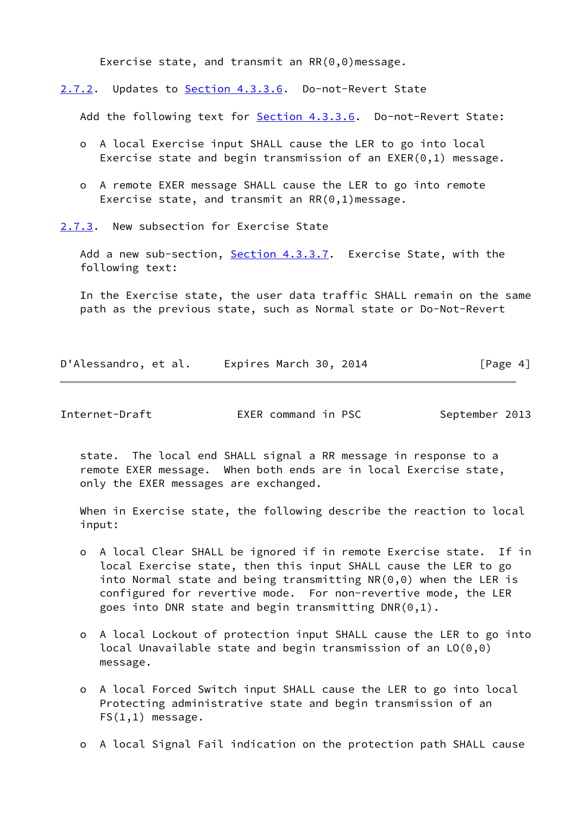Exercise state, and transmit an RR(0,0)message.

<span id="page-4-0"></span>[2.7.2](#page-4-0). Updates to Section 4.3.3.6. Do-not-Revert State

Add the following text for **Section 4.3.3.6.** Do-not-Revert State:

- o A local Exercise input SHALL cause the LER to go into local Exercise state and begin transmission of an EXER(0,1) message.
- o A remote EXER message SHALL cause the LER to go into remote Exercise state, and transmit an RR(0,1)message.

<span id="page-4-1"></span>[2.7.3](#page-4-1). New subsection for Exercise State

Add a new sub-section, Section 4.3.3.7. Exercise State, with the following text:

 In the Exercise state, the user data traffic SHALL remain on the same path as the previous state, such as Normal state or Do-Not-Revert

D'Alessandro, et al. Expires March 30, 2014 [Page 4]

Internet-Draft EXER command in PSC September 2013

 state. The local end SHALL signal a RR message in response to a remote EXER message. When both ends are in local Exercise state, only the EXER messages are exchanged.

 When in Exercise state, the following describe the reaction to local input:

- o A local Clear SHALL be ignored if in remote Exercise state. If in local Exercise state, then this input SHALL cause the LER to go into Normal state and being transmitting NR(0,0) when the LER is configured for revertive mode. For non-revertive mode, the LER goes into DNR state and begin transmitting DNR(0,1).
- o A local Lockout of protection input SHALL cause the LER to go into local Unavailable state and begin transmission of an LO(0,0) message.
- o A local Forced Switch input SHALL cause the LER to go into local Protecting administrative state and begin transmission of an FS(1,1) message.
- o A local Signal Fail indication on the protection path SHALL cause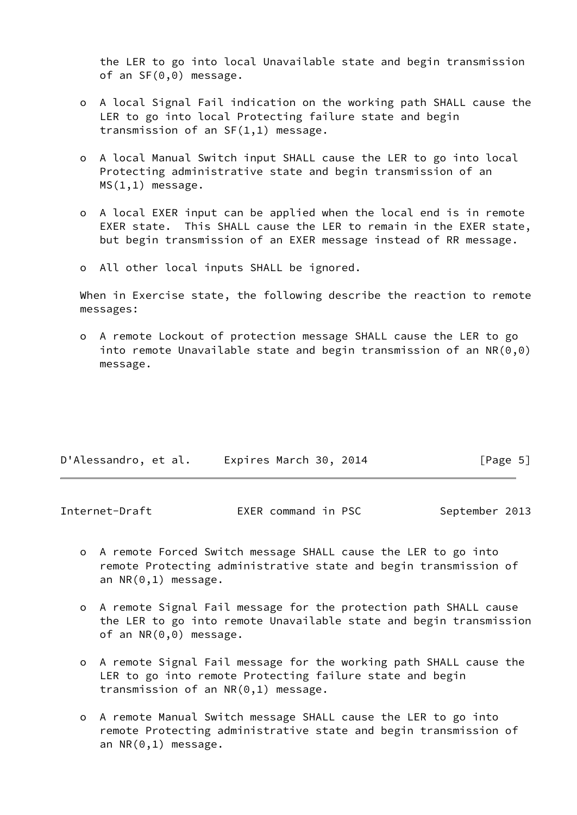the LER to go into local Unavailable state and begin transmission of an  $SF(0,0)$  message.

- o A local Signal Fail indication on the working path SHALL cause the LER to go into local Protecting failure state and begin transmission of an SF(1,1) message.
- o A local Manual Switch input SHALL cause the LER to go into local Protecting administrative state and begin transmission of an MS(1,1) message.
- o A local EXER input can be applied when the local end is in remote EXER state. This SHALL cause the LER to remain in the EXER state, but begin transmission of an EXER message instead of RR message.
- o All other local inputs SHALL be ignored.

 When in Exercise state, the following describe the reaction to remote messages:

 o A remote Lockout of protection message SHALL cause the LER to go into remote Unavailable state and begin transmission of an NR(0,0) message.

| D'Alessandro, et al. | Expires March 30, 2014 | [Page 5] |
|----------------------|------------------------|----------|
|                      |                        |          |

<span id="page-5-0"></span>Internet-Draft EXER command in PSC September 2013

- o A remote Forced Switch message SHALL cause the LER to go into remote Protecting administrative state and begin transmission of an NR(0,1) message.
- o A remote Signal Fail message for the protection path SHALL cause the LER to go into remote Unavailable state and begin transmission of an NR(0,0) message.
- o A remote Signal Fail message for the working path SHALL cause the LER to go into remote Protecting failure state and begin transmission of an NR(0,1) message.
- o A remote Manual Switch message SHALL cause the LER to go into remote Protecting administrative state and begin transmission of an NR(0,1) message.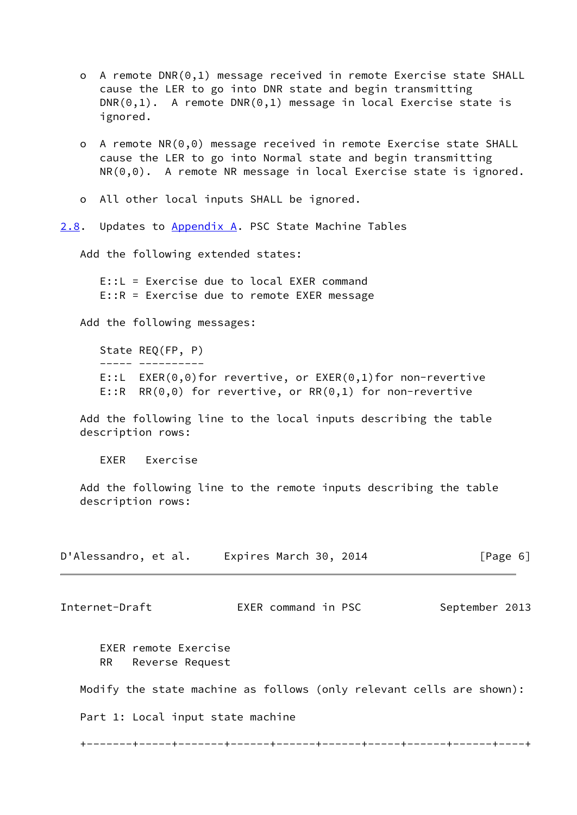- o A remote DNR(0,1) message received in remote Exercise state SHALL cause the LER to go into DNR state and begin transmitting  $DNR(0,1)$ . A remote  $DNR(0,1)$  message in local Exercise state is ignored.
- o A remote NR(0,0) message received in remote Exercise state SHALL cause the LER to go into Normal state and begin transmitting NR(0,0). A remote NR message in local Exercise state is ignored.
- o All other local inputs SHALL be ignored.

<span id="page-6-0"></span>[2.8](#page-6-0). Updates to Appendix A. PSC State Machine Tables

Add the following extended states:

 E::L = Exercise due to local EXER command E::R = Exercise due to remote EXER message

Add the following messages:

 State REQ(FP, P) ----- ---------- E::L EXER(0,0)for revertive, or EXER(0,1)for non-revertive E::R RR(0,0) for revertive, or RR(0,1) for non-revertive

 Add the following line to the local inputs describing the table description rows:

EXER Exercise

 Add the following line to the remote inputs describing the table description rows:

| D'Alessandro, et al.                       | Expires March 30, 2014                                               | [Page 6]       |
|--------------------------------------------|----------------------------------------------------------------------|----------------|
| Internet-Draft                             | EXER command in PSC                                                  | September 2013 |
| EXER remote Exercise<br>RR Reverse Request |                                                                      |                |
|                                            | Modify the state machine as follows (only relevant cells are shown): |                |
| Part 1: Local input state machine          |                                                                      |                |
|                                            |                                                                      |                |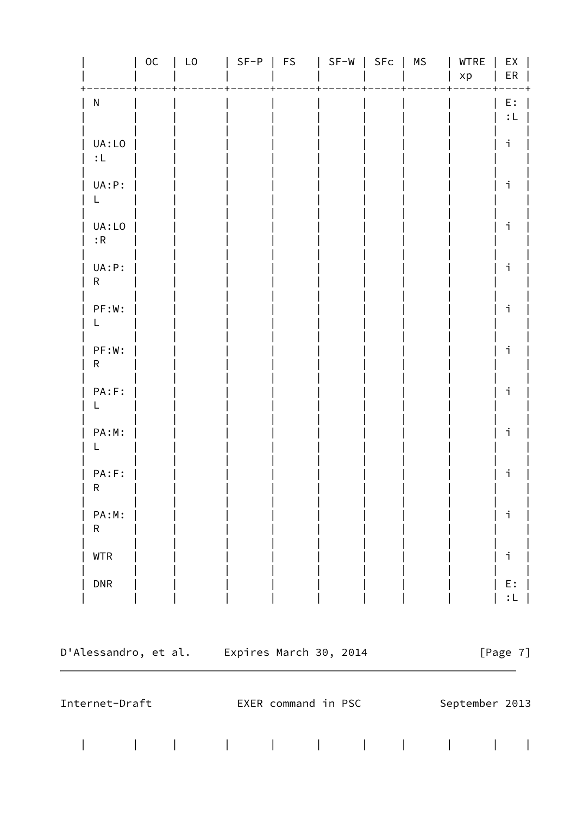|                                                                          | $_{\rm OC}$ | $\mathsf{L}\mathsf{O}$ | $SF-P$   FS |  | $SF-W$   $SFC$ | MS | WTRE<br>$\mathsf{x}\mathsf{p}$ | EX<br>ER  |  |
|--------------------------------------------------------------------------|-------------|------------------------|-------------|--|----------------|----|--------------------------------|-----------|--|
| ${\sf N}$                                                                |             |                        |             |  |                |    |                                | E:<br>: L |  |
| UA:LO<br>$:\mathsf{L}% \left( \mathcal{M}\right) \rightarrow \mathsf{L}$ |             |                        |             |  |                |    |                                | i         |  |
| UA:P:<br>L                                                               |             |                        |             |  |                |    |                                | i         |  |
| UA:LO<br>: R                                                             |             |                        |             |  |                |    |                                | i         |  |
| UA:P:<br>R                                                               |             |                        |             |  |                |    |                                | i         |  |
| PF:W:<br>L                                                               |             |                        |             |  |                |    |                                | i         |  |
| PF:W:<br>$\mathsf R$                                                     |             |                        |             |  |                |    |                                | i         |  |
| PA:F:<br>L                                                               |             |                        |             |  |                |    |                                | i         |  |
| PA:M:<br>L                                                               |             |                        |             |  |                |    |                                | i         |  |
| PA:F:<br>$\mathsf{R}$                                                    |             |                        |             |  |                |    |                                | ٦         |  |
| PA:M:<br>$\mathsf{R}$                                                    |             |                        |             |  |                |    |                                | ٦         |  |
| <b>WTR</b>                                                               |             |                        |             |  |                |    |                                | İ.        |  |
| <b>DNR</b>                                                               |             |                        |             |  |                |    |                                | E :       |  |

|                | D'Alessandro, et al. |  | Expires March 30, 2014 | [Page 7] |  |                |  |  |
|----------------|----------------------|--|------------------------|----------|--|----------------|--|--|
| Internet-Draft |                      |  | EXER command in PSC    |          |  | September 2013 |  |  |
|                |                      |  |                        |          |  |                |  |  |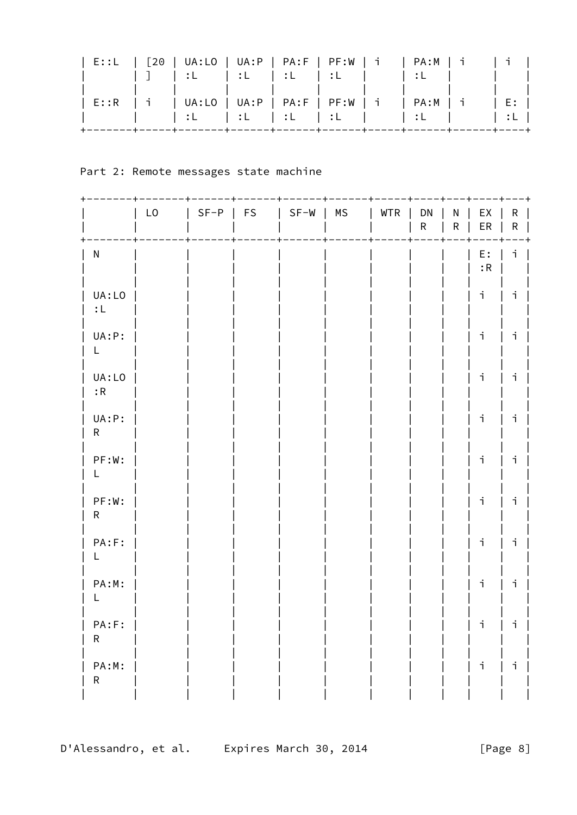|  |  |  | E::L   [20   UA:LO   UA:P   PA:F   PF:W   i   PA:M   i   i |                               |
|--|--|--|------------------------------------------------------------|-------------------------------|
|  |  |  | ]   :L   :L   :L   :L     :L                               | $\mathbf{1}$ and $\mathbf{1}$ |
|  |  |  |                                                            |                               |
|  |  |  | E::R   i   UA:LO   UA:P   PA:F   PF:W   i   PA:M   i   E:  |                               |
|  |  |  |                                                            |                               |
|  |  |  |                                                            |                               |

Part 2: Remote messages state machine

|                       |                |                             |  |              |                    |                               |                             | --+                          |
|-----------------------|----------------|-----------------------------|--|--------------|--------------------|-------------------------------|-----------------------------|------------------------------|
|                       | L <sub>0</sub> | SF-P   FS   SF-W   MS   WTR |  | $\mathbf{I}$ | DN<br>$\mathsf{R}$ | $N_{\odot}$<br>$\mathsf{R}^-$ | EX<br>${\sf ER}$            | $\mathsf{R}$<br>$\mathsf{R}$ |
| N                     |                |                             |  |              |                    |                               | E:<br>$\colon\! \mathsf{R}$ | $\mathbf i$                  |
| UA:LO<br>: L          |                |                             |  |              |                    |                               | i,                          | $\mathbf i$                  |
| UA:P:<br>L.           |                |                             |  |              |                    |                               | $\mathbf i$                 | $\mathbf i$                  |
| UA:LO<br>: R          |                |                             |  |              |                    |                               | i                           | i                            |
| UA:P:<br>$\mathsf{R}$ |                |                             |  |              |                    |                               | i                           | i                            |
| PF:W:<br>L.           |                |                             |  |              |                    |                               | i                           | i                            |
| PF:W:<br>$\mathsf{R}$ |                |                             |  |              |                    |                               | $\mathbf i$                 | i                            |
| PA:F:<br>L.           |                |                             |  |              |                    |                               | $\mathbf i$                 | i                            |
| PA:M:<br>L.           |                |                             |  |              |                    |                               | $\mathbf{i}$                | i                            |
| PA:F:<br>$\mathsf{R}$ |                |                             |  |              |                    |                               | i                           | $\mathbf i$                  |
| PA:M:<br>$\mathsf{R}$ |                |                             |  |              |                    |                               | $\mathbf i$                 | $\mathbf i$                  |
|                       |                |                             |  |              |                    |                               |                             |                              |

D'Alessandro, et al. Expires March 30, 2014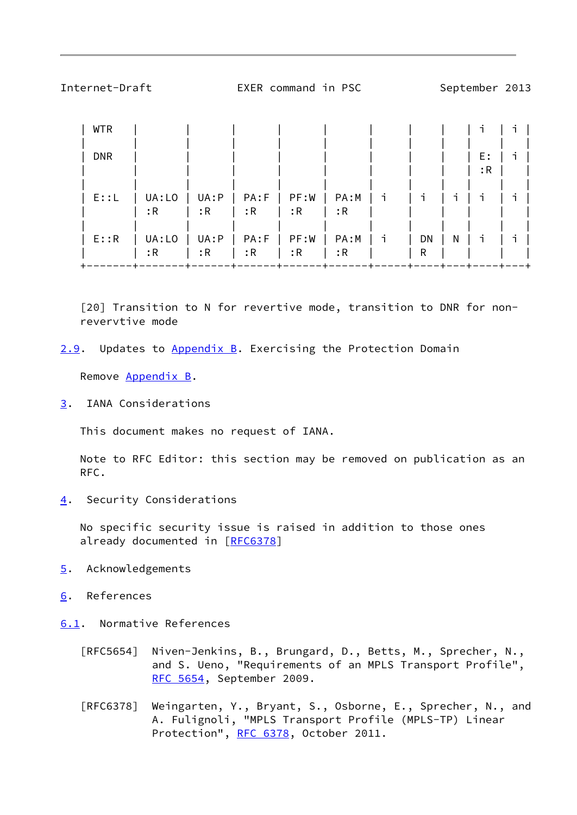| <b>WTR</b> |       |      |       |      |       |   |    |   |     |   |
|------------|-------|------|-------|------|-------|---|----|---|-----|---|
|            |       |      |       |      |       |   |    |   |     |   |
| <b>DNR</b> |       |      |       |      |       |   |    |   | E : | ٦ |
|            |       |      |       |      |       |   |    |   | : R |   |
|            |       |      |       |      |       |   |    |   |     |   |
| E: L       | UA:LO | UA:P | PA: F | PF:W | PA: M | i | É. | ٦ | ٦   |   |
|            | : R   | : R  | : R   | : R  | : R   |   |    |   |     |   |
|            |       |      |       |      |       |   |    |   |     |   |
| E: R       | UA:LO | UA:P | PA: F | PF:W | PA:M  | i | DN | N | ٦   | ٦ |
|            | : R   | : R  | : R   | : R  | : R   |   | R  |   |     |   |

<span id="page-9-1"></span>Internet-Draft EXER command in PSC September 2013

 [20] Transition to N for revertive mode, transition to DNR for non revervtive mode

<span id="page-9-6"></span>[2.9](#page-9-6). Updates to Appendix B. Exercising the Protection Domain

Remove Appendix B.

<span id="page-9-0"></span>[3](#page-9-0). IANA Considerations

This document makes no request of IANA.

 Note to RFC Editor: this section may be removed on publication as an RFC.

<span id="page-9-2"></span>[4](#page-9-2). Security Considerations

 No specific security issue is raised in addition to those ones already documented in [[RFC6378](https://datatracker.ietf.org/doc/pdf/rfc6378)]

- <span id="page-9-3"></span>[5](#page-9-3). Acknowledgements
- <span id="page-9-4"></span>[6](#page-9-4). References

<span id="page-9-5"></span>[6.1](#page-9-5). Normative References

- [RFC5654] Niven-Jenkins, B., Brungard, D., Betts, M., Sprecher, N., and S. Ueno, "Requirements of an MPLS Transport Profile", [RFC 5654,](https://datatracker.ietf.org/doc/pdf/rfc5654) September 2009.
- [RFC6378] Weingarten, Y., Bryant, S., Osborne, E., Sprecher, N., and A. Fulignoli, "MPLS Transport Profile (MPLS-TP) Linear Protection", [RFC 6378](https://datatracker.ietf.org/doc/pdf/rfc6378), October 2011.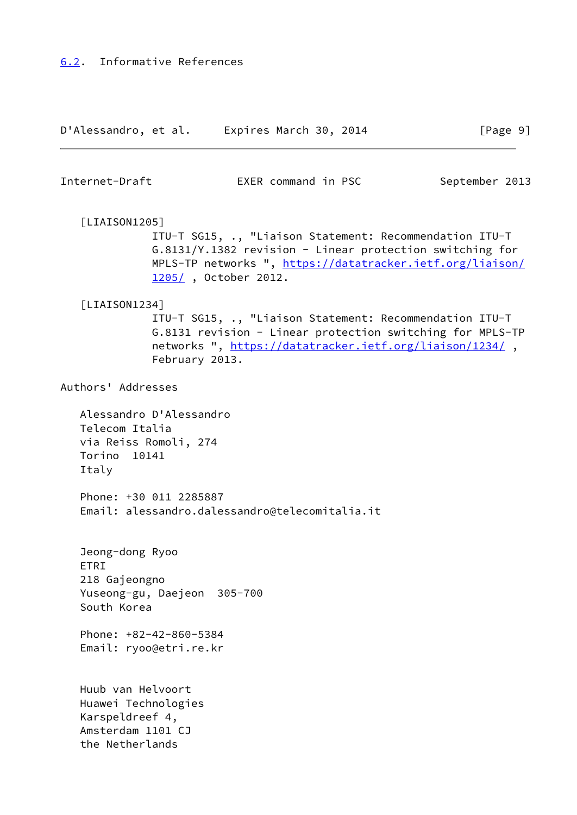<span id="page-10-3"></span><span id="page-10-2"></span><span id="page-10-1"></span>Internet-Draft EXER command in PSC September 2013 [LIAISON1205] ITU-T SG15, ., "Liaison Statement: Recommendation ITU-T G.8131/Y.1382 revision - Linear protection switching for MPLS-TP networks ", [https://datatracker.ietf.org/liaison/](https://datatracker.ietf.org/liaison/1205/) [1205/](https://datatracker.ietf.org/liaison/1205/) , October 2012. [LIAISON1234] ITU-T SG15, ., "Liaison Statement: Recommendation ITU-T G.8131 revision - Linear protection switching for MPLS-TP networks ", https://datatracker.ietf.org/liaison/1234/, February 2013. Authors' Addresses Alessandro D'Alessandro Telecom Italia via Reiss Romoli, 274 Torino 10141 Italy Phone: +30 011 2285887 Email: alessandro.dalessandro@telecomitalia.it Jeong-dong Ryoo ETRI 218 Gajeongno Yuseong-gu, Daejeon 305-700 South Korea Phone: +82-42-860-5384 Email: ryoo@etri.re.kr Huub van Helvoort Huawei Technologies Karspeldreef 4, Amsterdam 1101 CJ the Netherlands

<span id="page-10-0"></span>D'Alessandro, et al. Expires March 30, 2014 [Page 9]